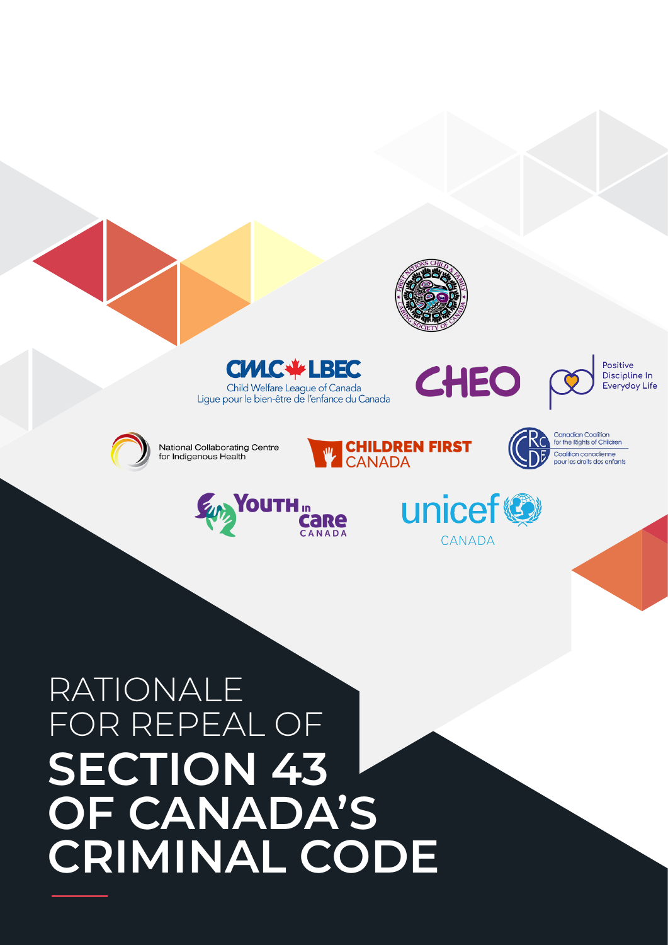

# RATIONALE FOR REPEAL OF **SECTION 43 OF CANADA'S CRIMINAL CODE**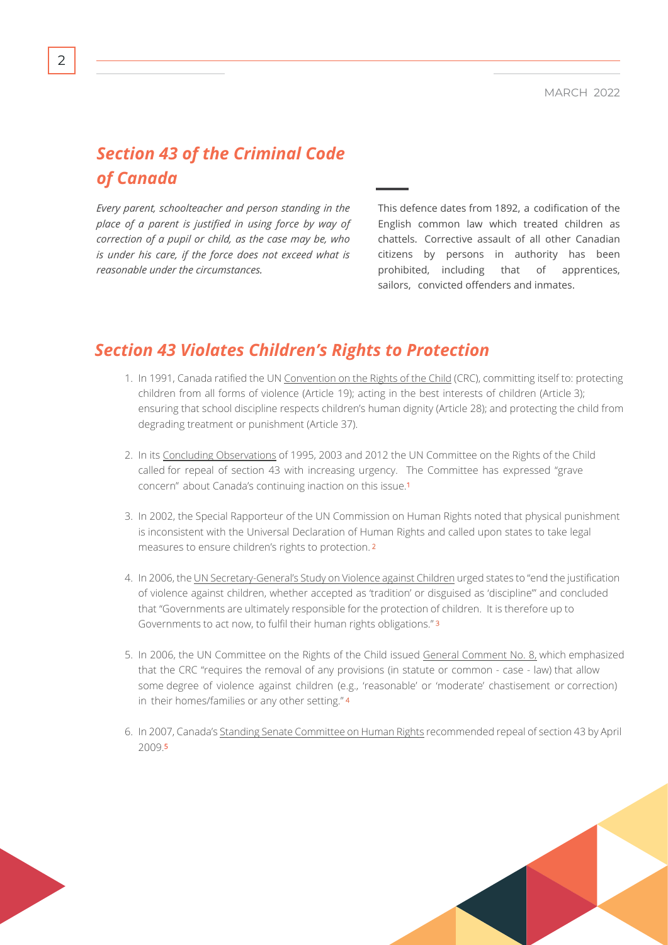## *Section 43 of the Criminal Code of Canada*

*Every parent, schoolteacher and person standing in the place of a parent is justified in using force by way of correction of a pupil or child, as the case may be, who is under his care, if the force does not exceed what is reasonable under the circumstances.*

This defence dates from 1892, a codification of the English common law which treated children as chattels. Corrective assault of all other Canadian citizens by persons in authority has been prohibited, including that of apprentices, sailors, convicted offenders and inmates.

#### *Section 43 Violates Children's Rights to Protection*

- 1. In 1991, Canada ratified the UN [Convention on the Rights of the Child](https://www.unicef.org/child-rights-convention/convention-text) (CRC), committing itself to: protecting children from all forms of violence (Article 19); acting in the best interests of children (Article 3); ensuring that school discipline respects children's human dignity (Article 28); and protecting the child from degrading treatment or punishment (Article 37).
- 2. In its [Concluding Observations](https://tbinternet.ohchr.org/_layouts/15/treatybodyexternal/Download.aspx?symbolno=CRC%2fC%2fCAN%2fCO%2f3-4&Lang=en) of 1995, 2003 and 2012 the UN Committee on the Rights of the Child called for repeal of section 43 with increasing urgency. The Committee has expressed "grave concern" about Canada's continuing inaction on this issue.<sup>1</sup>
- 3. In 2002, the Special Rapporteur of the UN Commission on Human Rights noted that physical punishment is inconsistent with the Universal Declaration of Human Rights and called upon states to take legal measures to ensure children's rights to protection. <sup>2</sup>
- 4. In 2006, the [UN Secretary-General's Study on Violence against Children](https://violenceagainstchildren.un.org/content/un-study-violence-against-children) urged states to "end the justification of violence against children, whether accepted as 'tradition' or disguised as 'discipline'" and concluded that "Governments are ultimately responsible for the protection of children. It is therefore up to Governments to act now, to fulfil their human rights obligations." <sup>3</sup>
- 5. In 2006, the UN Committee on the Rights of the Child issued [General Comment No. 8,](https://tbinternet.ohchr.org/_layouts/15/treatybodyexternal/Download.aspx?symbolno=CRC%2fC%2fGC%2f8&Lang=en) which emphasized that the CRC "requires the removal of any provisions (in statute or common - case - law) that allow some degree of violence against children (e.g., 'reasonable' or 'moderate' chastisement or correction) in their homes/families or any other setting." <sup>4</sup>
- 6. In 2007, Canada's [Standing Senate Committee on Human Rights](https://sencanada.ca/content/sen/committee/391/huma/rep/rep10apr07-e.pdf) recommended repeal of section 43 by April 2009.<sup>5</sup>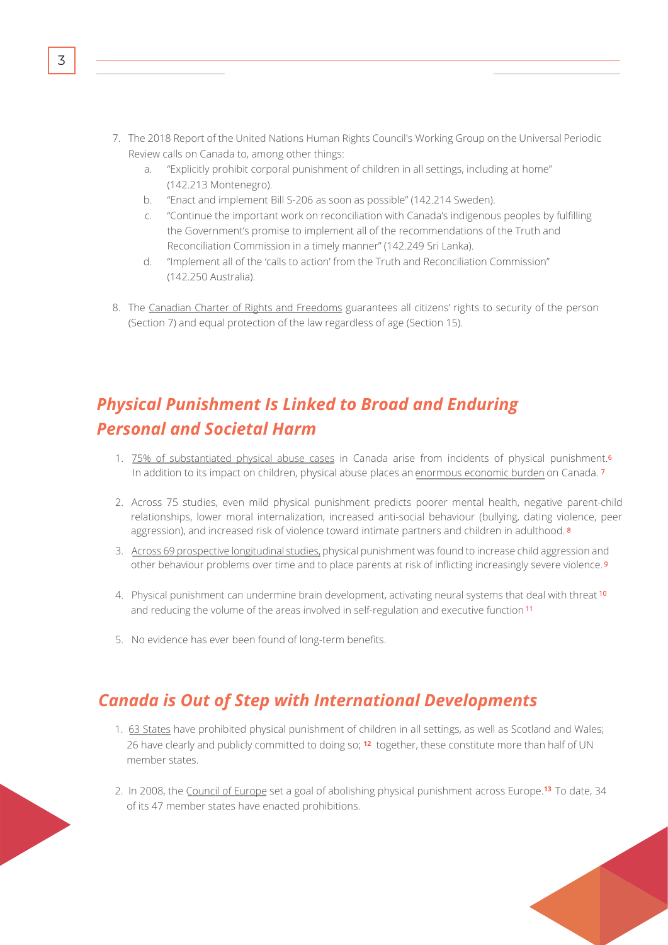- 7. The 2018 Report of the United Nations Human Rights Council's Working Group on the Universal Periodic Review calls on Canada to, among other things:
	- a. "Explicitly prohibit corporal punishment of children in all settings, including at home" (142.213 Montenegro).
	- b. "Enact and implement Bill S-206 as soon as possible" (142.214 Sweden).
	- c. "Continue the important work on reconciliation with Canada's indigenous peoples by fulfilling the Government's promise to implement all of the recommendations of the Truth and Reconciliation Commission in a timely manner" (142.249 Sri Lanka).
	- d. "Implement all of the 'calls to action' from the Truth and Reconciliation Commission" (142.250 Australia).
- 8. The Canadian Charter of Rights and Freedoms guarantees all citizens' rights to security of the person (Section 7) and equal protection of the law regardless of age (Section 15).

# *Physical Punishment Is Linked to Broad and Enduring Personal and Societal Harm*

- 1. 75% of substantiated physical abuse cases in Canada arise from incidents of physical punishment.<sup>6</sup> In addition to its impact on children, physical abuse places an [enormous economic burden](http://cwrp.ca/sites/default/files/publications/en/Report-Economic_Cost_Child_AbuseEN.pdf) on Canada.<sup>7</sup>
- 2. Across 75 studies, even mild physical punishment predicts poorer mental health, negative parent-child relationships, lower moral internalization, increased anti-social behaviour (bullying, dating violence, peer aggression), and increased risk of violence toward intimate partners and children in adulthood.<sup>8</sup>
- 3. Across 69 prospective longitudinal studies, physical punishment was found to increase child aggression and other behaviour problems over time and to place parents at risk of inflicting increasingly severe violence. <sup>9</sup>
- 4. Physical punishment can undermine brain development, activating neural systems that deal with threat <sup>10</sup> and reducing the volume of the areas involved in self-regulation and executive function <sup>11</sup>
- 5. No evidence has ever been found of long-term benefits.

## *Canada is Out of Step with International Developments*

- 1. 63 States have prohibited physical punishment of children in all settings, as well as Scotland and Wales; 26 have clearly and publicly committed to doing so; <sup>12</sup> together, these constitute more than half of UN member states.
- 2. In 2008, the <u>[Council of Europe](http://www.coe.int/t/dg3/children/corporalpunishment/default_en.asp)</u> set a goal of abolishing physical punishment across Europe.<sup>13</sup> To date, 34 of its 47 member states have enacted prohibitions.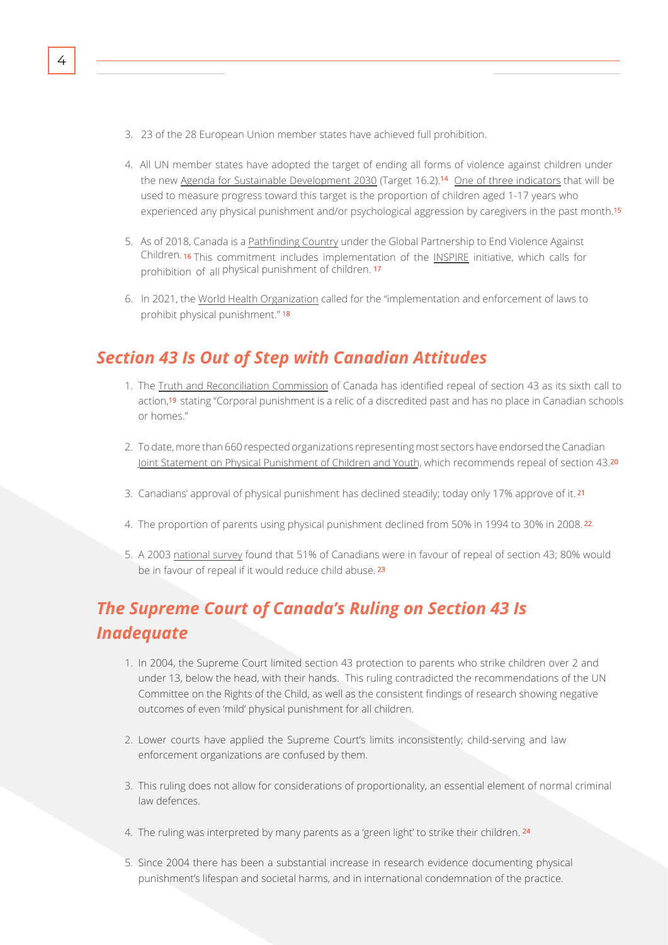- 3. 23 of the 28 European Union member states have achieved full prohibition.
- 4. All UN member states have adopted the target of ending all forms of violence against children under the new [Agenda for Sustainable Development 2030](https://sdgs.un.org/2030agenda) (Target 16.2).<sup>14</sup> [One of three indicators](https://unstats.un.org/sdgs/metadata/?Text=&Goal=16&Target=16.2) that will be used to measure progress toward this target is the proportion of children aged 1-17 years who experienced any physical punishment and/or psychological aggression by caregivers in the past month.<sup>15</sup>
- 5. As of 2018, Canada is a [Pathfinding Country](http://www.end-violence.org/take-action/governments/pathfinders) under the Global Partnership to End Violence Against Children. <sup>16</sup> This commitment includes implementation of the [INSPIRE](https://www.who.int/publications/i/item/inspire-seven-strategies-for-ending-violence-against-children) initiative, which calls for prohibition of all physical punishment of children. 17
- 6. In 2021, the [World Health Organization](https://www.who.int/news-room/fact-sheets/detail/corporal-punishment-and-health) called for the "implementation and enforcement of laws to prohibit physical punishment." <sup>18</sup>

#### *Section 43 Is Out of Step with Canadian Attitudes*

- 1. The [Truth and Reconciliation Commission](https://ehprnh2mwo3.exactdn.com/wp-content/uploads/2021/01/Calls_to_Action_English2.pdf) of Canada has identified repeal of section 43 as its sixth call to action,<sup>19</sup> stating "Corporal punishment is a relic of a discredited past and has no place in Canadian schools or homes."
- 2. To date, more than 660 respected organizations representing most sectors have endorsed the Canadian [Joint Statement](https://www.cheo.on.ca/en/about-us/physical-punishment.aspx) [on Physical Punishment of Children and Youth,](https://www.cheo.on.ca/en/about-us/physical-punishment.aspx) which recommends repeal of section 43.<sup>20</sup>
- 3. Canadians' approval of physical punishment has declined steadily; today only 17% approve of it. <sup>21</sup>
- 4. The proportion of parents using physical punishment declined from 50% in 1994 to 30% in 2008. <sup>22</sup>
- 5. A 2003 [national survey](https://canadiancrc.com/PDFs/Corporal_Punishment_Section_43_Repeal_Survey_Canada_2003_Toronto_Public_Health.pdf) found that 51% of Canadians were in favour of repeal of section 43; 80% would be in favour of repeal if it would reduce child abuse. 23

# *The Supreme Court of Canada's Ruling on Section 43 Is Inadequate*

- 1. In 2004, the Supreme Court limited section 43 protection to parents who strike children over 2 and under 13, below the head, with their hands. This ruling contradicted the recommendations of the UN Committee on the Rights of the Child, as well as the consistent findings of research showing negative outcomes of even 'mild' physical punishment for all children.
- 2. Lower courts have applied the Supreme Court's limits inconsistently; child-serving and law enforcement organizations are confused by them.
- 3. This ruling does not allow for considerations of proportionality, an essential element of normal criminal law defences.
- 4. The ruling was interpreted by many parents as a 'green light' to strike their children. **<sup>24</sup>**
- 5. Since 2004 there has been a substantial increase in research evidence documenting physical punishment's lifespan and societal harms, and in international condemnation of the practice.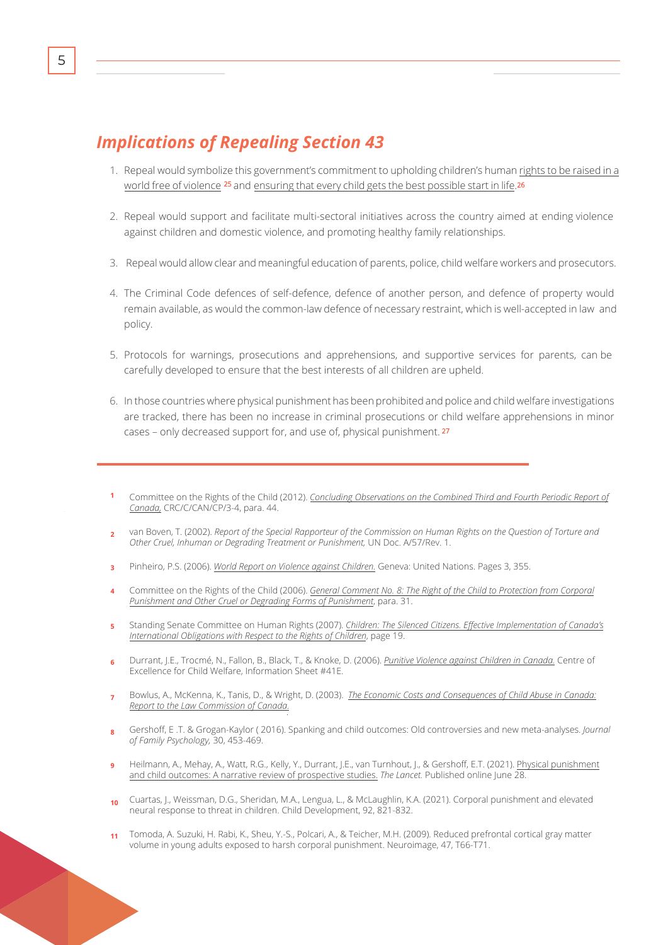### *Implications of Repealing Section 43*

- 1. Repeal would symbolize this government's commitment to upholding children's human [rights to be raised in a](https://pm.gc.ca/en/news/statements/2016/11/20/statement-prime-minister-canada-national-child-day) [world free of violence](https://pm.gc.ca/en/news/statements/2016/11/20/statement-prime-minister-canada-national-child-day)  $^{25}$  and [ensuring that every child gets the best possible start in life.](https://www.newswire.ca/news-releases/statement-by-the-honourable-jean-yves-duclos-minister-of-families-children-and-social-development-551902961.html)<sup>26</sup>
- 2. Repeal would support and facilitate multi-sectoral initiatives across the country aimed at ending violence against children and domestic violence, and promoting healthy family relationships.
- 3. Repeal would allow clear and meaningful education of parents, police, child welfare workers and prosecutors.
- 4. The Criminal Code defences of self-defence, defence of another person, and defence of property would remain available, as would the common-law defence of necessary restraint, which is well-accepted in law and policy.
- 5. Protocols for warnings, prosecutions and apprehensions, and supportive services for parents, can be carefully developed to ensure that the best interests of all children are upheld.
- 6. In those countries where physical punishment has been prohibited and police and child welfare investigations are tracked, there has been no increase in criminal prosecutions or child welfare apprehensions in minor cases – only decreased support for, and use of, physical punishment. <sup>27</sup>
- Committee on the Rights of the Child (2012). *[Concluding Observations on the Combined Third and Fourth Periodic Report of](http://tbinternet.ohchr.org/_layouts/treatybodyexternal/Download.aspx?symbolno=CRC%2fC%2fCAN%2fCO%2f3-4&Lang=en) Canada,* [CRC/C/CAN/CP/3-4, para. 44.](http://tbinternet.ohchr.org/_layouts/treatybodyexternal/Download.aspx?symbolno=CRC%2fC%2fCAN%2fCO%2f3-4&Lang=en)
- **2** van Boven, T. (2002). *Report of the Special Rapporteur of the Commission on Human Rights on the Question of Torture and Other Cruel, Inhuman or Degrading Treatment or Punishment,* UN Doc. A/57/Rev. 1.
- **3** Pinheiro, P.S. (2006). *[World Report on Violence against Children.](https://violenceagainstchildren.un.org/sites/violenceagainstchildren.un.org/files/document_files/world_report_on_violence_against_children.pdf)* Geneva: United Nations. Pages 3, 355.
- Committee on the Rights of the Child (2006). *[General Comment No. 8: The Right of the Child to Protection from Corporal](http://tbinternet.ohchr.org/_layouts/treatybodyexternal/Download.aspx?symbolno=CRC%2fC%2fGC%2f8&Lang=en) [Punishment and Other Cruel or Degrading Forms of Punishment](http://tbinternet.ohchr.org/_layouts/treatybodyexternal/Download.aspx?symbolno=CRC%2fC%2fGC%2f8&Lang=en)*, para. 31.
- **5** Standing Senate Committee on Human Rights (2007). *[Children: The Silenced Citizens. Effective Implementation of Canada's](https://sencanada.ca/content/sen/committee/391/huma/rep/rep10apr07-e.pdf) [International Obligations with Respect to the Rights of Children](https://sencanada.ca/content/sen/committee/391/huma/rep/rep10apr07-e.pdf)*, page 19.
- Durrant, J.E., Trocmé, N., Fallon, B., Black, T., & Knoke, D. (2006). *[Punitive Violence against Children in Canada.](http://cwrp.ca/sites/default/files/publications/en/PunitiveViolence41E.pdf)* Centre of  $\overline{a}$ Excellence for Child Welfare, Information Sheet #41E.
- **7** Bowlus, A., McKenna, K., Tanis, D., & Wright, D. (2003). *[The Economic Costs and Consequences of Child Abuse in Canada:](http://cwrp.ca/sites/default/files/publications/en/Report-Economic_Cost_Child_AbuseEN.pdf)  [Report to the Law Commission of Canada.](http://cwrp.ca/sites/default/files/publications/en/Report-Economic_Cost_Child_AbuseEN.pdf)*
- **8** Gershoff, E .T. & Grogan-Kaylor ( 2016). Spanking and child outcomes: Old controversies and new meta-analyses. *Journal of Family Psychology,* 30, 453-469.
- **9** Heilmann, A., Mehay, A., Watt, R.G., Kelly, Y., Durrant, J.E., van Turnhout, J., & Gershoff, E.T. (2021). Physical punishment [and child outcomes: A narrative review of prospective studies.](http://cwrp.ca/sites/default/files/publications/en/Report-Economic_Cost_Child_AbuseEN.pdf) *The Lancet.* Published online June 28.
- Cuartas, J., Weissman, D.G., Sheridan, M.A., Lengua, L., & McLaughlin, K.A. (2021). Corporal punishment and elevated  $10$ neural response to threat in children. Child Development, 92, 821-832.
- **11** Tomoda, A. Suzuki, H. Rabi, K., Sheu, Y.-S., Polcari, A., & Teicher, M.H. (2009). Reduced prefrontal cortical gray matter volume in young adults exposed to harsh corporal punishment. Neuroimage, 47, T66-T71.